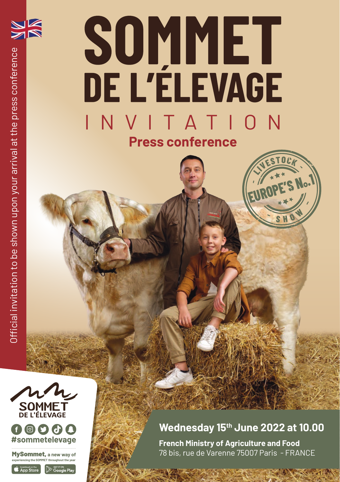

# **SOMMET**<br>DE L'ÉLEVAGE INVITATION **Press conference**





MySommet, **a new way of experiencing the SOMMET throughout the year** 

S Download on the App Store  $\mathbb{R}$   $\approx$   $\approx$ 



#### **Wednesday 15th June 2022 at 10.00**

**EUROPE'S N°**

**<sup>S</sup> <sup>H</sup> <sup>O</sup> <sup>W</sup>**

**LACCOCK** 

**.1** 

**French Ministry of Agriculture and Food** 78 bis, rue de Varenne 75007 Paris - FRANCE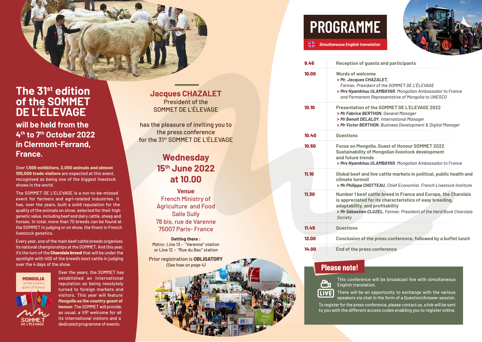

# **The 31st edition of the SOMMET DE L'ÉLEVAGE**

**will be held from the 4th to 7th October 2022 in Clermont-Ferrand, France.** 

Over 1,500 exhibitors, 2,000 animals and almost 100,000 trade visitors are expected at this event, recognised as being one of the biggest livestock shows in the world.

The SOMMET DE L'ELEVAGE is a not-to-be-missed event for farmers and agri-related industries. It has, over the years, built a solid reputation for the quality of the animals on show, selected for their high genetic value, including beef and dairy cattle, sheep and horses. In total, more than 70 breeds can be found at the SOMMET in judging or on show, the finest in French livestock genetics.

Every year, one of the main beef cattle breeds organises its national championships at the SOMMET. And this year, it's the turn of the **Charolais breed** that will be under the spotlight with 400 of the breed's best cattle in judging over the 4 days of the show.



Over the years, the SOMMET has established an international reputation as being resolutely turned to foreign markets and visitors. This year will feature Mongolia as the country guest of honour. The SOMMET will provide, as usual, a VIP welcome for all its international visitors and a dedicated programme of events.

#### **Jacques CHAZALET** President of the SOMMET DE L'ÉLEVAGE

has the pleasure of inviting you to the press conference for the 31st SOMMET DE L'ÉLEVAGE

# **Wednesday 15th June 2022 at 10.00**

**Venue** French Ministry of Agriculture and Food Salle Sully 78 bis, rue de Varenne 75007 Paris- France

**Getting there :** Métro: Line 13 – "Varenne" station or Line 12 – "Rue du Bac" station

Prior registration is **OBLIGATORY** *(See how on page 4)*

# **PROGRAMME**

*Simultaneous English translation*



| 9.45  | <b>Reception of quests and participants</b>                                                                                                                                                                                                     |
|-------|-------------------------------------------------------------------------------------------------------------------------------------------------------------------------------------------------------------------------------------------------|
| 10.00 | <b>Words of welcome</b><br>> Mr. Jacques CHAZALET,<br>Farmer, President of the SOMMET DE L'ÉLEVAGE<br>> Mrs Nyamkhuu ULAMBAYAR, Mongolian Ambassador to France<br>and Permanent Representative of Mongolia to UNESCO                            |
| 10.10 | Presentation of the SOMMET DE I'EL EVAGE 2022<br>> Mr Fabrice BERTHON, General Manager<br>> Mr Benoît DELALOY, International Manager<br>> Mr Victor BERTHON, Business Development & Digital Manager                                             |
| 10.40 | Ouestions                                                                                                                                                                                                                                       |
| 10.50 | <b>Focus on Mongolia, Guest of Honour SOMMET 2022</b><br><b>Sustainability of Mongolian livestock development</b><br>and future trends<br>> Mrs Nyamkhuu ULAMBAYAR, Mongolian Ambassador to France                                              |
| 11.10 | Global beef and live cattle markets in political, public health and<br>climate turmoil<br>> Mr Philippe CHOTTEAU, Chief Economist, French Livestock Institute                                                                                   |
| 11.30 | Number 1 beef cattle breed in France and Europe, the Charolais<br>is appreciated for its characteristics of easy breeding,<br>adaptability, and profitability<br>> Mr Sébastien CLUZEL, Farmer, President of the Herd Book Charolais<br>Society |
| 11.45 | <b>Ouestions</b>                                                                                                                                                                                                                                |
| 12.00 | Conclusion of the press conference, followed by a buffet lunch                                                                                                                                                                                  |
| 14.00 | End of the press conference                                                                                                                                                                                                                     |

## **Please note!**



This conference will be broadcast live with simultaneous English translation.

There will be an opportunity to exchange with the various speakers via chat in the form of a Question/Answer session.

To register for the press conference, please contact us, a link will be sent to you with the different access codes enabling you to register online.